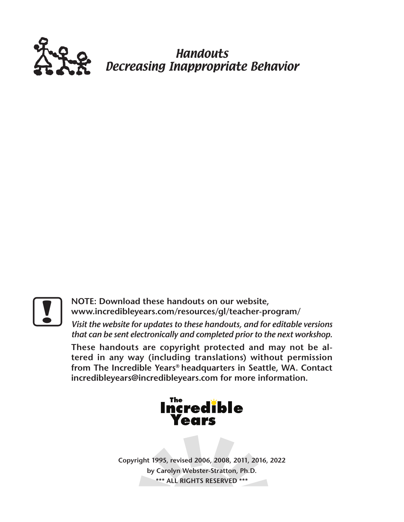

Handouts Decreasing Inappropriate Behavior

**Postally and STE: Download these handouts on our website,<br>
<b>Postally and STE: Download these handouts / providence**<br> *Nisit the website for updates to these handouts, and for that can be sent electronically and completed* **www.incredibleyears.com/resources/gl/teacher-program/** 

*Visit the website for updates to these handouts, and for editable versions that can be sent electronically and completed prior to the next workshop.*

**These handouts are copyright protected and may not be altered in any way (including translations) without permission from The Incredible Years® headquarters in Seattle, WA. Contact incredibleyears@incredibleyears.com for more information.**



**Copyright 1995, revised 2006, 2008, 2011, 2016, 2022 by Carolyn Webster-Stratton, Ph.D. \*\*\* ALL RIGHTS RESERVED \*\*\***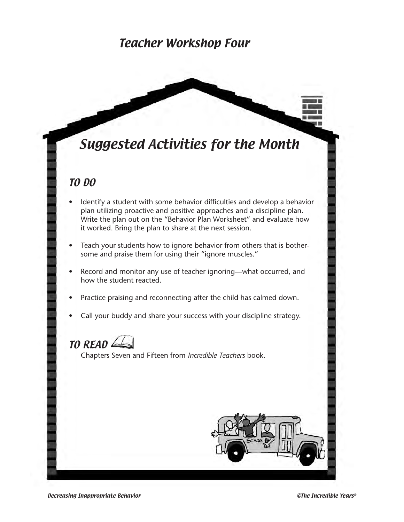#### Teacher Workshop Four

# Suggested Activities for the Month

#### TO DO

- Identify a student with some behavior difficulties and develop a behavior plan utilizing proactive and positive approaches and a discipline plan. Write the plan out on the "Behavior Plan Worksheet" and evaluate how it worked. Bring the plan to share at the next session.
- Teach your students how to ignore behavior from others that is bothersome and praise them for using their "ignore muscles."
- Record and monitor any use of teacher ignoring—what occurred, and how the student reacted.
- Practice praising and reconnecting after the child has calmed down.
- Call your buddy and share your success with your discipline strategy.

## $TO$  READ $\leq$

Chapters Seven and Fifteen from *Incredible Teachers* book.

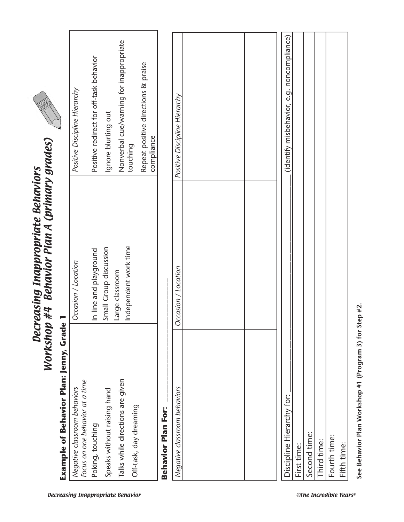| Example of Behavior Plan: Jenny, Grade 1                        |                        |                                                   |
|-----------------------------------------------------------------|------------------------|---------------------------------------------------|
| Focus on one behavior at a time<br>Negative classroom behaviors | Occasion / Location    | Positive Discipline Hierarchy                     |
| Poking, touching                                                | In line and playground | Positive redirect for off-task behavior           |
| Speaks without raising hand                                     | Small Group discussion | Ignore blurting out                               |
| Talks while directions are given                                | Large classroom        | Nonverbal cue/warning for inappropriate           |
| Off-task, day dreaming                                          | Independent work time  | touching                                          |
|                                                                 |                        | Repeat positive directions & praise<br>compliance |
| Behavior Plan For:                                              |                        |                                                   |
| Negative classroom behaviors                                    | Occasion / Location    | Positive Discipline Hierarchy                     |
|                                                                 |                        |                                                   |
|                                                                 |                        |                                                   |
|                                                                 |                        |                                                   |
| Discipline Hierarchy for:                                       |                        | (identify misbehavior, e.g. noncompliance)        |
| First time:                                                     |                        |                                                   |
| Second time:                                                    |                        |                                                   |
| Third time:                                                     |                        |                                                   |
| Fourth time:                                                    |                        |                                                   |
| Fifth time:                                                     |                        |                                                   |

See Behavior Plan Workshop #1 (Program 3) for Step #2. **See Behavior Plan Workshop #1 (Program 3) for Step #2.**

Decreasing Inappropriate Behaviors Workshop #4 Behavior Plan A (primary grades)

Decreasing Inappropriate Behaviors<br>Workshop #4 Behavior Plan A (primary grades)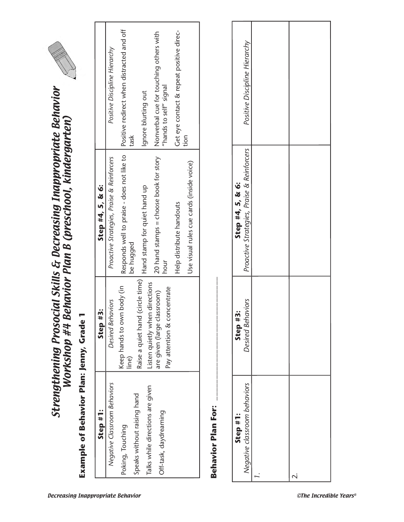

| Step #1:                         | Step #3:                             | Step #4, 5, & 6:                           |                                                   |
|----------------------------------|--------------------------------------|--------------------------------------------|---------------------------------------------------|
| Negative Classroom Behaviors     | Desired Behaviors                    | Proactive Strategies, Praise & Reinforcers | Positive Discipline Hierarchy                     |
| Poking, Touching                 | Keep hands to own body (in<br>line)  | Responds well to praise - does not like to | Positive redirect when distracted and off<br>task |
| Speaks without raising hand      | Raise a quiet hand (circle time)     | be hugged                                  |                                                   |
| Talks while directions are given | lirections<br>Listen quietly when di | Hand stamp for quiet hand up               | Ignore blurting out                               |
| Off-task, daydreaming            | are given (large classroom)          | 20 hand stamps = choose book for story     | Nonverbal cue for touching others with            |
|                                  | Pay attention & concentrate          | hour                                       | "hands to self" signal                            |
|                                  |                                      | Help distribute handouts                   | Get eye contact & repeat positive direc-          |
|                                  |                                      | Use visual rules cue cards (inside voice)  | tion                                              |

| Negative Classroom Behaviors                    | Step #3                                                            | Step #4, 5, & 6:                                               |                                                                  |
|-------------------------------------------------|--------------------------------------------------------------------|----------------------------------------------------------------|------------------------------------------------------------------|
|                                                 | Desired Behaviors                                                  | Proactive Strategies, Praise & Reinforcers                     | Positive Discipline Hierarchy                                    |
| Speaks without raising hand<br>Poking, Touching | Keep hands to own body (in<br>line)                                | Responds well to praise - does not like to<br>be hugged        | Positive redirect when distracted and off<br>task                |
| Talks while directions are given                | Raise a quiet hand (circle time)<br>Listen quietly when directions | Hand stamp for quiet hand up                                   | Ignore blurting out                                              |
| Off-task, daydreaming                           | Pay attention & concentrate<br>are given (large classroom)         | 20 hand stamps = choose book for story<br>hour                 | Nonverbal cue for touching others with<br>"hands to self" signal |
|                                                 |                                                                    | Help distribute handouts                                       | Get eye contact & repeat positive direc-                         |
|                                                 |                                                                    | Use visual rules cue cards (inside voice)                      | tion                                                             |
| Behavior Plan For:                              |                                                                    |                                                                |                                                                  |
| Negative classroom behaviors<br>Step #1:        | Desired Behaviors<br>Step #3                                       | Proactive Strategies, Praise & Reinforcers<br>Step #4, 5, & 6: | Positive Discipline Hierarchy                                    |
|                                                 |                                                                    |                                                                |                                                                  |
| $\overline{\mathcal{N}}$                        |                                                                    |                                                                |                                                                  |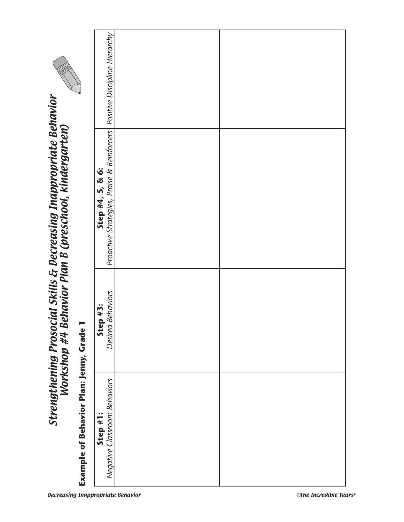|                                                                                                                             | Positive Discipline Hierarchy                                  |                        |
|-----------------------------------------------------------------------------------------------------------------------------|----------------------------------------------------------------|------------------------|
| Strengthening Prosocial Skills & Decreasing Inappropriate Behavior<br>Workshop #4 Behavior Plan B (preschool, kindergarten) | Proactive Strategies, Praise & Reinforcers<br>Step #4, 5, & 6: |                        |
|                                                                                                                             | <b>Behaviors</b><br>p#3:<br>Ste<br>Desired                     |                        |
| Example of Behavior Plan: Jenny, Grade                                                                                      | Negative Classroom Behaviors<br>Step #1                        |                        |
| <b>Decreasing Inappropriate Behavior</b>                                                                                    |                                                                | ©The Incredible Years® |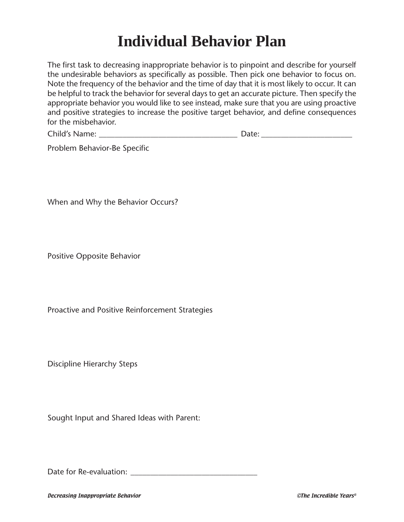# **Individual Behavior Plan**

The first task to decreasing inappropriate behavior is to pinpoint and describe for yourself the undesirable behaviors as specifically as possible. Then pick one behavior to focus on. Note the frequency of the behavior and the time of day that it is most likely to occur. It can be helpful to track the behavior for several days to get an accurate picture. Then specify the appropriate behavior you would like to see instead, make sure that you are using proactive and positive strategies to increase the positive target behavior, and define consequences for the misbehavior.

| Child's <sub>1</sub><br>Name:<br>$\sim$ |
|-----------------------------------------|
|-----------------------------------------|

Problem Behavior-Be Specific

When and Why the Behavior Occurs?

Positive Opposite Behavior

Proactive and Positive Reinforcement Strategies

Discipline Hierarchy Steps

Sought Input and Shared Ideas with Parent:

Date for Re-evaluation: **Date for Re-evaluation**:

Decreasing Inappropriate Behavior ©The Incredible Years®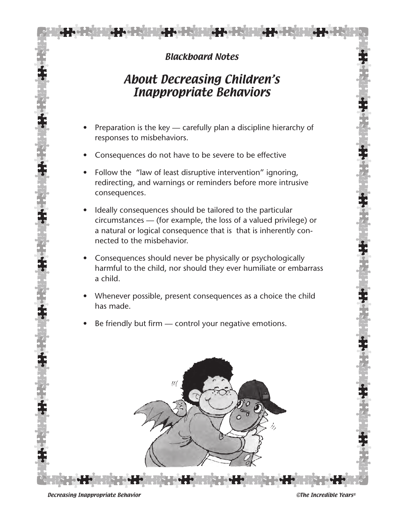#### Blackboard Notes

### About Decreasing Children's Inappropriate Behaviors

- Preparation is the key carefully plan a discipline hierarchy of responses to misbehaviors.
- Consequences do not have to be severe to be effective
- Follow the "law of least disruptive intervention" ignoring, redirecting, and warnings or reminders before more intrusive consequences.
- Ideally consequences should be tailored to the particular circumstances — (for example, the loss of a valued privilege) or a natural or logical consequence that is that is inherently connected to the misbehavior.
- Consequences should never be physically or psychologically harmful to the child, nor should they ever humiliate or embarrass a child.
- Whenever possible, present consequences as a choice the child has made.
- Be friendly but firm control your negative emotions.



Decreasing Inappropriate Behavior ©The Incredible Years®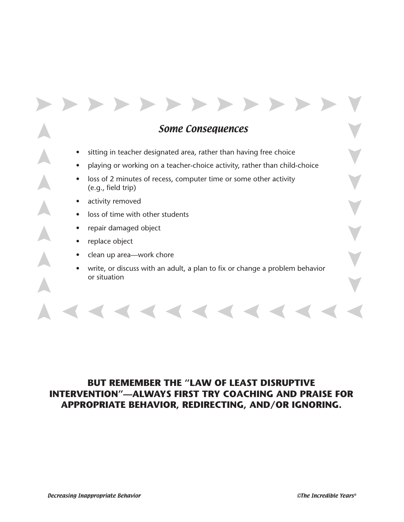Some Consequences

• sitting in teacher designated area, rather than having free choice

 $\rightarrow$ 

- playing or working on a teacher-choice activity, rather than child-choice
- loss of 2 minutes of recess, computer time or some other activity (e.g., field trip)
- activity removed
- loss of time with other students
- repair damaged object

- replace object
- clean up area—work chore
- write, or discuss with an adult, a plan to fix or change a problem behavior or situation

#### **BUT REMEMBER THE "LAW OF LEAST DISRUPTIVE INTERVENTION"—ALWAYS FIRST TRY COACHING AND PRAISE FOR APPROPRIATE BEHAVIOR, REDIRECTING, AND/OR IGNORING.**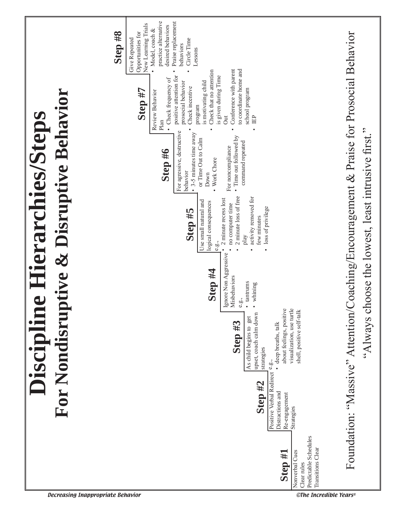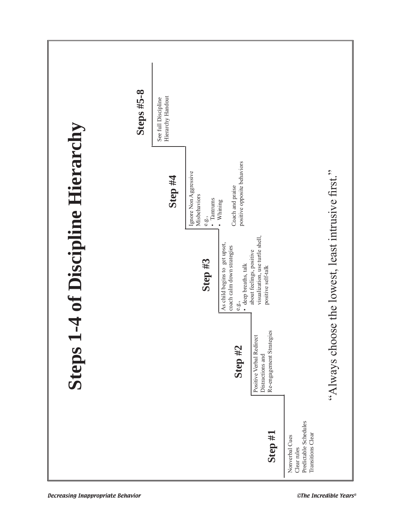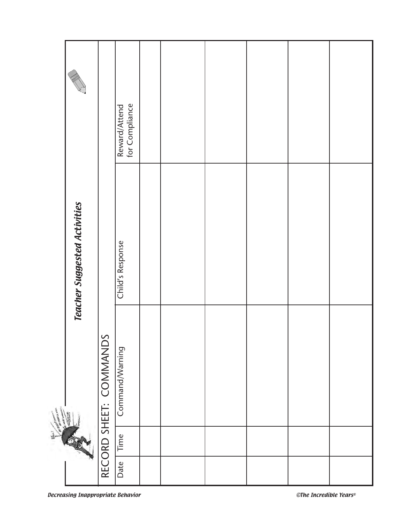|                                    |                              |                        | Reward/Attend<br>for Compliance |  |  |  |
|------------------------------------|------------------------------|------------------------|---------------------------------|--|--|--|
|                                    | Teacher Suggested Activities |                        | Child's Response                |  |  |  |
| <b>Controller Service Property</b> |                              | RECORD SHEET: COMMANDS | Command/Warning                 |  |  |  |
| 警                                  |                              |                        | Time                            |  |  |  |
|                                    |                              |                        | Date                            |  |  |  |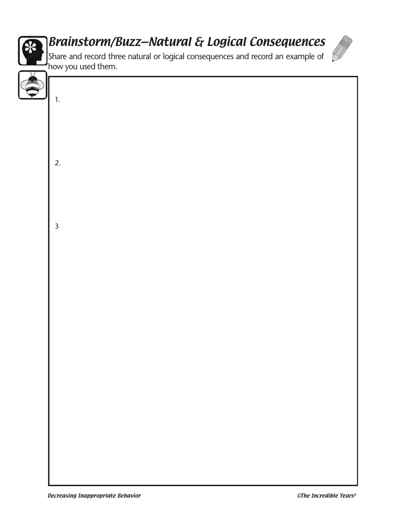

# Brainstorm/Buzz—Natural & Logical Consequences



Share and record three natural or logical consequences and record an example of how you used them.

| 1.                      |
|-------------------------|
|                         |
|                         |
|                         |
|                         |
|                         |
|                         |
|                         |
|                         |
|                         |
|                         |
|                         |
| 2.                      |
|                         |
|                         |
|                         |
|                         |
|                         |
|                         |
|                         |
|                         |
|                         |
|                         |
|                         |
| $\overline{\mathbf{3}}$ |
|                         |
|                         |
|                         |
|                         |
|                         |
|                         |
|                         |
|                         |
|                         |
|                         |
|                         |
|                         |
|                         |
|                         |
|                         |
|                         |
|                         |
|                         |
|                         |
|                         |
|                         |
|                         |
|                         |
|                         |
|                         |
|                         |
|                         |
|                         |
|                         |
|                         |
|                         |
|                         |
|                         |
|                         |
|                         |
|                         |
|                         |
|                         |
|                         |
|                         |
|                         |
|                         |
|                         |
|                         |
|                         |
|                         |
|                         |
|                         |
|                         |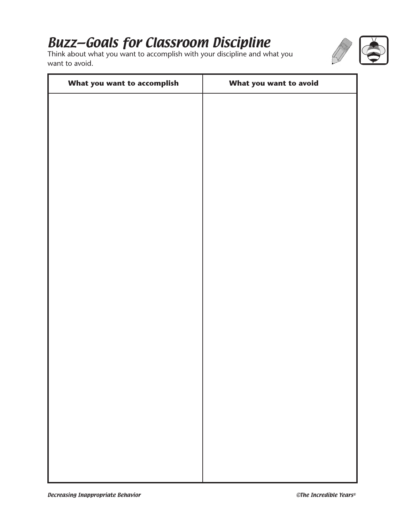# Buzz—Goals for Classroom Discipline

Think about what you want to accomplish with your discipline and what you want to avoid.



| What you want to accomplish | What you want to avoid |
|-----------------------------|------------------------|
|                             |                        |
|                             |                        |
|                             |                        |
|                             |                        |
|                             |                        |
|                             |                        |
|                             |                        |
|                             |                        |
|                             |                        |
|                             |                        |
|                             |                        |
|                             |                        |
|                             |                        |
|                             |                        |
|                             |                        |
|                             |                        |
|                             |                        |
|                             |                        |
|                             |                        |
|                             |                        |
|                             |                        |
|                             |                        |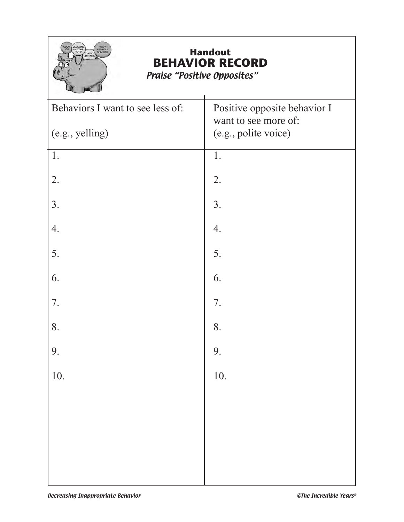

# **Handout BEHAVIOR RECORD**

Praise "Positive Opposites"

| Behaviors I want to see less of: | Positive opposite behavior I<br>want to see more of: |
|----------------------------------|------------------------------------------------------|
| (e.g., yelling)                  | (e.g., polite voice)                                 |
| 1.                               | 1.                                                   |
| 2.                               | 2.                                                   |
| 3.                               | 3.                                                   |
| 4.                               | 4.                                                   |
| 5.                               | 5.                                                   |
| 6.                               | 6.                                                   |
| 7.                               | 7.                                                   |
| 8.                               | 8.                                                   |
| 9.                               | 9.                                                   |
| 10.                              | 10.                                                  |
|                                  |                                                      |
|                                  |                                                      |
|                                  |                                                      |
|                                  |                                                      |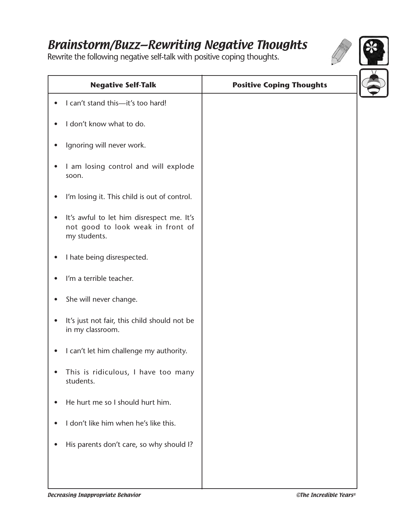## Brainstorm/Buzz—Rewriting Negative Thoughts

Rewrite the following negative self-talk with positive coping thoughts.



| <b>Negative Self-Talk</b>                                                                      | <b>Positive Coping Thoughts</b> |
|------------------------------------------------------------------------------------------------|---------------------------------|
| I can't stand this-it's too hard!                                                              |                                 |
| I don't know what to do.                                                                       |                                 |
| Ignoring will never work.                                                                      |                                 |
| I am losing control and will explode<br>soon.                                                  |                                 |
| I'm losing it. This child is out of control.                                                   |                                 |
| It's awful to let him disrespect me. It's<br>not good to look weak in front of<br>my students. |                                 |
| I hate being disrespected.                                                                     |                                 |
| I'm a terrible teacher.                                                                        |                                 |
| She will never change.                                                                         |                                 |
| It's just not fair, this child should not be<br>in my classroom.                               |                                 |
| I can't let him challenge my authority.                                                        |                                 |
| This is ridiculous, I have too many<br>students.                                               |                                 |
| He hurt me so I should hurt him.                                                               |                                 |
| I don't like him when he's like this.                                                          |                                 |
| His parents don't care, so why should I?                                                       |                                 |
|                                                                                                |                                 |
|                                                                                                |                                 |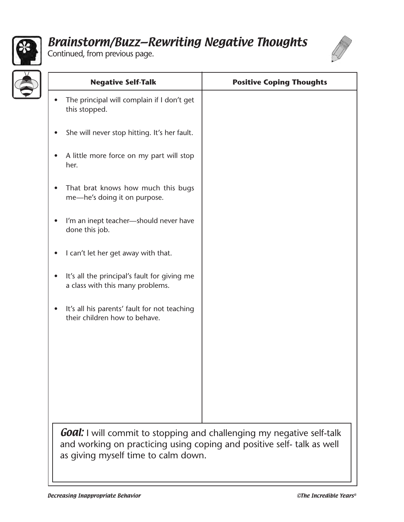

## Brainstorm/Buzz—Rewriting Negative Thoughts

Continued, from previous page.



| <b>Negative Self-Talk</b>                                                                                                                                                                     | <b>Positive Coping Thoughts</b> |
|-----------------------------------------------------------------------------------------------------------------------------------------------------------------------------------------------|---------------------------------|
| The principal will complain if I don't get<br>this stopped.                                                                                                                                   |                                 |
| She will never stop hitting. It's her fault.                                                                                                                                                  |                                 |
| A little more force on my part will stop<br>her.                                                                                                                                              |                                 |
| That brat knows how much this bugs<br>$\bullet$<br>me-he's doing it on purpose.                                                                                                               |                                 |
| I'm an inept teacher-should never have<br>done this job.                                                                                                                                      |                                 |
| I can't let her get away with that.                                                                                                                                                           |                                 |
| It's all the principal's fault for giving me<br>$\bullet$<br>a class with this many problems.                                                                                                 |                                 |
| It's all his parents' fault for not teaching<br>their children how to behave.                                                                                                                 |                                 |
|                                                                                                                                                                                               |                                 |
|                                                                                                                                                                                               |                                 |
|                                                                                                                                                                                               |                                 |
|                                                                                                                                                                                               |                                 |
| <b>Goal:</b> I will commit to stopping and challenging my negative self-talk<br>and working on practicing using coping and positive self- talk as well<br>as giving myself time to calm down. |                                 |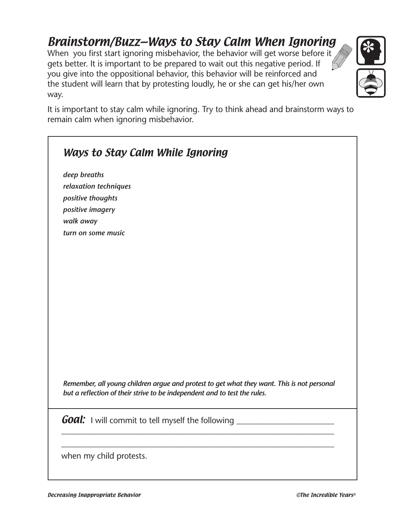# Brainstorm/Buzz—Ways to Stay Calm When Ignoring

When you first start ignoring misbehavior, the behavior will get worse before it gets better. It is important to be prepared to wait out this negative period. If you give into the oppositional behavior, this behavior will be reinforced and the student will learn that by protesting loudly, he or she can get his/her own way.



It is important to stay calm while ignoring. Try to think ahead and brainstorm ways to remain calm when ignoring misbehavior.

| deep breaths          |                                                                                            |
|-----------------------|--------------------------------------------------------------------------------------------|
| relaxation techniques |                                                                                            |
| positive thoughts     |                                                                                            |
| positive imagery      |                                                                                            |
| walk away             |                                                                                            |
| turn on some music    |                                                                                            |
|                       |                                                                                            |
|                       |                                                                                            |
|                       |                                                                                            |
|                       |                                                                                            |
|                       |                                                                                            |
|                       |                                                                                            |
|                       |                                                                                            |
|                       |                                                                                            |
|                       |                                                                                            |
|                       |                                                                                            |
|                       |                                                                                            |
|                       |                                                                                            |
|                       |                                                                                            |
|                       |                                                                                            |
|                       | Remember, all young children argue and protest to get what they want. This is not personal |
|                       | but a reflection of their strive to be independent and to test the rules.                  |
|                       |                                                                                            |
|                       | <b>Goal:</b> I will commit to tell myself the following                                    |
|                       |                                                                                            |
|                       |                                                                                            |
|                       |                                                                                            |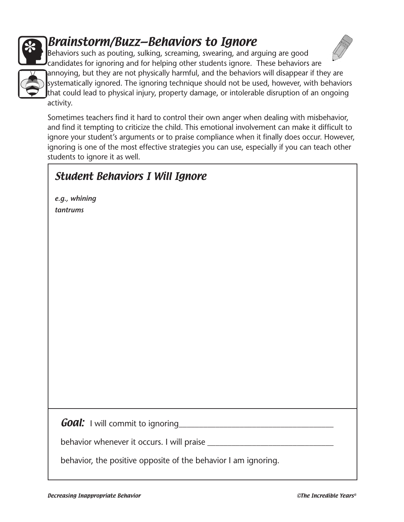

# Brainstorm/Buzz—Behaviors to Ignore





Behaviors such as pouting, sulking, screaming, swearing, and arguing are good candidates for ignoring and for helping other students ignore. These behaviors are annoying, but they are not physically harmful, and the behaviors will disappear if they are systematically ignored. The ignoring technique should not be used, however, with behaviors that could lead to physical injury, property damage, or intolerable disruption of an ongoing activity.

Sometimes teachers find it hard to control their own anger when dealing with misbehavior, and find it tempting to criticize the child. This emotional involvement can make it difficult to ignore your student's arguments or to praise compliance when it finally does occur. However, ignoring is one of the most effective strategies you can use, especially if you can teach other students to ignore it as well.

#### Student Behaviors I Will Ignore

*e.g., whining tantrums*

 $Goal:$  I will commit to ignoring

behavior whenever it occurs. I will praise \_\_\_\_\_\_\_\_\_\_\_\_\_\_\_\_\_\_\_\_\_\_\_\_\_\_\_\_\_\_\_

behavior, the positive opposite of the behavior I am ignoring.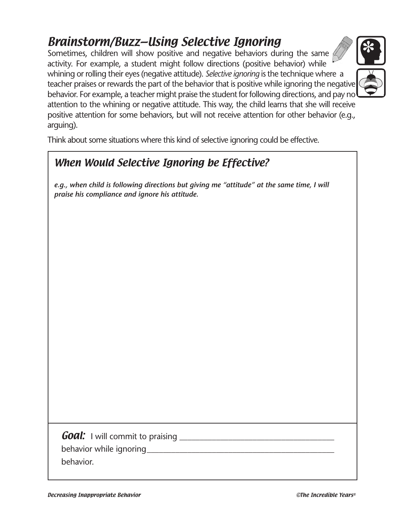# Brainstorm/Buzz—Using Selective Ignoring

Sometimes, children will show positive and negative behaviors during the same activity. For example, a student might follow directions (positive behavior) while whining or rolling their eyes (negative attitude). *Selective ignoring* is the technique where a teacher praises or rewards the part of the behavior that is positive while ignoring the negative behavior. For example, a teacher might praise the student for following directions, and pay no attention to the whining or negative attitude. This way, the child learns that she will receive positive attention for some behaviors, but will not receive attention for other behavior (e.g., arguing).



### When Would Selective Ignoring be Effective?

*e.g., when child is following directions but giving me "attitude" at the same time, I will praise his compliance and ignore his attitude.*

Goal: I will commit to praising \_\_\_\_\_\_\_\_\_\_\_\_\_\_\_\_\_\_\_\_\_\_\_\_\_\_\_\_\_\_\_\_\_\_\_\_\_\_

behavior while ignoring example to the set of the set of the set of the set of the set of the set of the set o

behavior.



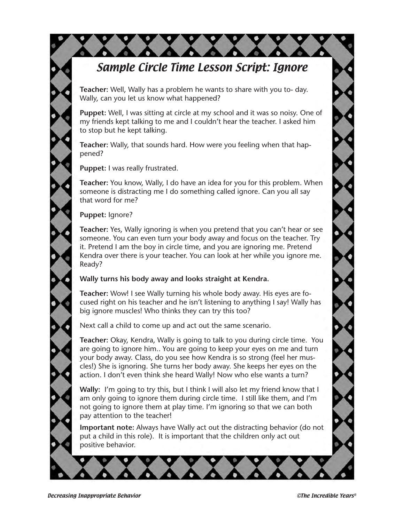### Sample Circle Time Lesson Script: Ignore

**Teacher:** Well, Wally has a problem he wants to share with you to- day. Wally, can you let us know what happened?

**Puppet:** Well, I was sitting at circle at my school and it was so noisy. One of my friends kept talking to me and I couldn't hear the teacher. I asked him to stop but he kept talking.

**Teacher:** Wally, that sounds hard. How were you feeling when that happened?

**Puppet:** I was really frustrated.

**Teacher:** You know, Wally, I do have an idea for you for this problem. When someone is distracting me I do something called ignore. Can you all say that word for me?

**Puppet:** Ignore?

**Teacher:** Yes, Wally ignoring is when you pretend that you can't hear or see someone. You can even turn your body away and focus on the teacher. Try it. Pretend I am the boy in circle time, and you are ignoring me. Pretend Kendra over there is your teacher. You can look at her while you ignore me. Ready?

#### **Wally turns his body away and looks straight at Kendra.**

**Teacher:** Wow! I see Wally turning his whole body away. His eyes are focused right on his teacher and he isn't listening to anything I say! Wally has big ignore muscles! Who thinks they can try this too?

Next call a child to come up and act out the same scenario.

**Teacher:** Okay, Kendra, Wally is going to talk to you during circle time. You are going to ignore him.. You are going to keep your eyes on me and turn your body away. Class, do you see how Kendra is so strong (feel her muscles!) She is ignoring. She turns her body away. She keeps her eyes on the action. I don't even think she heard Wally! Now who else wants a turn?

**Wally:** I'm going to try this, but I think I will also let my friend know that I am only going to ignore them during circle time. I still like them, and I'm not going to ignore them at play time. I'm ignoring so that we can both pay attention to the teacher!

**Important note:** Always have Wally act out the distracting behavior (do not put a child in this role). It is important that the children only act out positive behavior.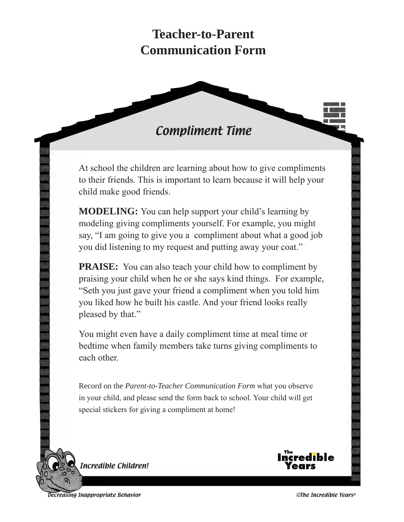# **Teacher-to-Parent Communication Form**

#### Compliment Time

At school the children are learning about how to give compliments to their friends. This is important to learn because it will help your child make good friends.

**MODELING:** You can help support your child's learning by modeling giving compliments yourself. For example, you might say, "I am going to give you a compliment about what a good job you did listening to my request and putting away your coat."

**PRAISE:** You can also teach your child how to compliment by praising your child when he or she says kind things. For example, "Seth you just gave your friend a compliment when you told him you liked how he built his castle. And your friend looks really pleased by that."

You might even have a daily compliment time at meal time or bedtime when family members take turns giving compliments to each other.

Record on the *Parent-to-Teacher Communication Form* what you observe in your child, and please send the form back to school. Your child will get special stickers for giving a compliment at home!



ncredible Children!

Decreasing Inappropriate Behavior ©The Incredible Years®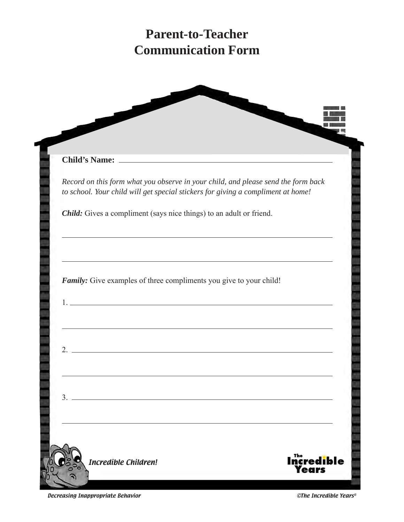# **Parent-to-Teacher Communication Form**

| <b>Child's Name:</b>                                                             | <u> 1989 - Johann Barbara, martin amerikan basal dan berasal dan berasal dalam basal dan berasal dalam berasal da</u>                                                                                                         |
|----------------------------------------------------------------------------------|-------------------------------------------------------------------------------------------------------------------------------------------------------------------------------------------------------------------------------|
| to school. Your child will get special stickers for giving a compliment at home! | Record on this form what you observe in your child, and please send the form back                                                                                                                                             |
| Child: Gives a compliment (says nice things) to an adult or friend.              |                                                                                                                                                                                                                               |
|                                                                                  | <u> 1989 - Johann Stoff, deutscher Stoff, der Stoff, der Stoff, der Stoff, der Stoff, der Stoff, der Stoff, der S</u>                                                                                                         |
| Family: Give examples of three compliments you give to your child!               |                                                                                                                                                                                                                               |
|                                                                                  | the control of the control of the control of the control of the control of the control of the control of the control of the control of the control of the control of the control of the control of the control of the control |
| $\overline{2}$ .                                                                 |                                                                                                                                                                                                                               |
| 3.                                                                               |                                                                                                                                                                                                                               |
|                                                                                  |                                                                                                                                                                                                                               |

Decreasing Inappropriate Behavior **Contract Contract Contract Contract Contract** Contract Contract Contract Contra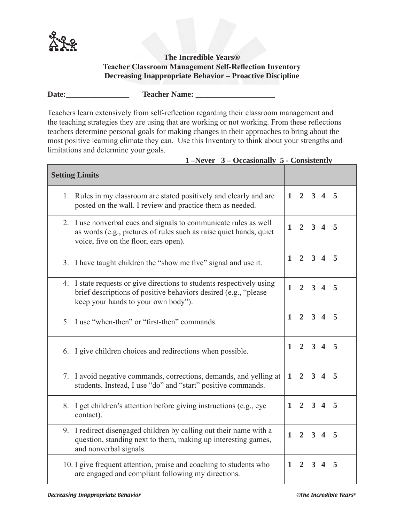

#### **The Incredible Years® Teacher Classroom Management Self-Reflection Inventory Decreasing Inappropriate Behavior – Proactive Discipline**

**Date:\_\_\_\_\_\_\_\_\_\_\_\_\_\_\_\_ Teacher Name: \_\_\_\_\_\_\_\_\_\_\_\_\_\_\_\_\_\_\_\_**

Teachers learn extensively from self-reflection regarding their classroom management and the teaching strategies they are using that are working or not working. From these reflections teachers determine personal goals for making changes in their approaches to bring about the most positive learning climate they can. Use this Inventory to think about your strengths and limitations and determine your goals.

| <b>Setting Limits</b>                                                                                                                                                           |              |                     |            |                     |   |
|---------------------------------------------------------------------------------------------------------------------------------------------------------------------------------|--------------|---------------------|------------|---------------------|---|
| 1. Rules in my classroom are stated positively and clearly and are<br>posted on the wall. I review and practice them as needed.                                                 |              | $1 \t2 \t3 \t4 \t5$ |            |                     |   |
| 2. I use nonverbal cues and signals to communicate rules as well<br>as words (e.g., pictures of rules such as raise quiet hands, quiet<br>voice, five on the floor, ears open). | 1            |                     |            | $2 \quad 3 \quad 4$ | 5 |
| 3. I have taught children the "show me five" signal and use it.                                                                                                                 | $\mathbf{1}$ |                     |            | $2 \t3 \t4 \t5$     |   |
| 4. I state requests or give directions to students respectively using<br>brief descriptions of positive behaviors desired (e.g., "please<br>keep your hands to your own body"). | $\mathbf{1}$ | $\overline{2}$      | $3\quad 4$ |                     | 5 |
| 5. I use "when-then" or "first-then" commands.                                                                                                                                  | $\mathbf{1}$ |                     |            | $2 \t3 \t4 \t5$     |   |
| 6. I give children choices and redirections when possible.                                                                                                                      |              | $1 \t2 \t3 \t4 \t5$ |            |                     |   |
| 7. I avoid negative commands, corrections, demands, and yelling at<br>students. Instead, I use "do" and "start" positive commands.                                              | 1            |                     |            | $2 \t3 \t4 \t5$     |   |
| 8. I get children's attention before giving instructions (e.g., eye<br>contact).                                                                                                |              | $1 \t2 \t3 \t4 \t5$ |            |                     |   |
| 9. I redirect disengaged children by calling out their name with a<br>question, standing next to them, making up interesting games,<br>and nonverbal signals.                   | $\mathbf{1}$ |                     |            | $2 \t3 \t4 \t5$     |   |
| 10. I give frequent attention, praise and coaching to students who<br>are engaged and compliant following my directions.                                                        | $\mathbf{1}$ | $\overline{2}$      | $3\quad 4$ |                     | 5 |

#### **1 –Never 3 – Occasionally 5 - Consistently**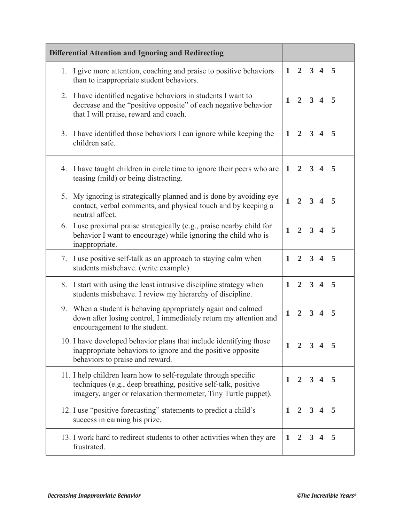| <b>Differential Attention and Ignoring and Redirecting</b>                                                                                                                                          |              |                |                         |                         |     |
|-----------------------------------------------------------------------------------------------------------------------------------------------------------------------------------------------------|--------------|----------------|-------------------------|-------------------------|-----|
| 1. I give more attention, coaching and praise to positive behaviors<br>than to inappropriate student behaviors.                                                                                     | $\mathbf{1}$ | $\overline{2}$ | $3\quad 4$              |                         | 5   |
| 2. I have identified negative behaviors in students I want to<br>decrease and the "positive opposite" of each negative behavior<br>that I will praise, reward and coach.                            | $\mathbf{1}$ | $2^{\circ}$    | $3\quad 4$              |                         | 5   |
| 3. I have identified those behaviors I can ignore while keeping the<br>children safe.                                                                                                               | $\mathbf{1}$ | $\mathbf{2}$   | $\mathbf{3}$            | $\overline{\mathbf{4}}$ | 5   |
| 4. I have taught children in circle time to ignore their peers who are<br>teasing (mild) or being distracting.                                                                                      | $\mathbf{1}$ | $\mathbf{2}$   |                         | $3\quad 4$              | 5   |
| My ignoring is strategically planned and is done by avoiding eye<br>5.<br>contact, verbal comments, and physical touch and by keeping a<br>neutral affect.                                          | $\mathbf{1}$ | $\overline{2}$ | $3\quad 4$              |                         | 5   |
| 6. I use proximal praise strategically (e.g., praise nearby child for<br>behavior I want to encourage) while ignoring the child who is<br>inappropriate.                                            | $\mathbf{1}$ | $\mathbf{2}$   |                         | $3\quad 4$              | 5   |
| I use positive self-talk as an approach to staying calm when<br>7.<br>students misbehave. (write example)                                                                                           | $\mathbf{1}$ | $\overline{2}$ |                         | $3\quad 4$              | 5   |
| 8. I start with using the least intrusive discipline strategy when<br>students misbehave. I review my hierarchy of discipline.                                                                      | $\mathbf{1}$ | $\overline{2}$ | $3\quad 4$              |                         | 5   |
| 9. When a student is behaving appropriately again and calmed<br>down after losing control, I immediately return my attention and<br>encouragement to the student.                                   | $\mathbf{1}$ | $\overline{2}$ | $\overline{\mathbf{3}}$ | $\boldsymbol{4}$        | 5   |
| 10. I have developed behavior plans that include identifying those<br>inappropriate behaviors to ignore and the positive opposite<br>behaviors to praise and reward.                                | 1            | 2              |                         | $3\quad 4$              | - 5 |
| 11. I help children learn how to self-regulate through specific<br>techniques (e.g., deep breathing, positive self-talk, positive<br>imagery, anger or relaxation thermometer, Tiny Turtle puppet). | 1            | $\overline{2}$ | $3\quad 4$              |                         | - 5 |
| 12. I use "positive forecasting" statements to predict a child's<br>success in earning his prize.                                                                                                   | 1            | $\mathbf{2}$   |                         | $3\quad 4$              | 5   |
| 13. I work hard to redirect students to other activities when they are<br>frustrated.                                                                                                               | 1            | $\mathbf{2}$   | $3\quad 4$              |                         | -5  |